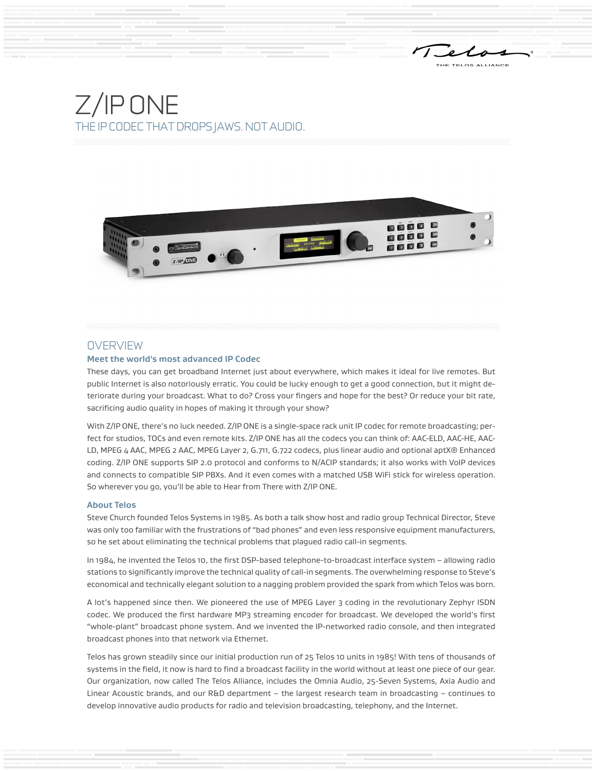Telo



### **OVERVIEW**

#### **Meet the world's most advanced IP Codec**

These days, you can get broadband Internet just about everywhere, which makes it ideal for live remotes. But public Internet is also notoriously erratic. You could be lucky enough to get a good connection, but it might deteriorate during your broadcast. What to do? Cross your fingers and hope for the best? Or reduce your bit rate, sacrificing audio quality in hopes of making it through your show?

With Z/IP ONE, there's no luck needed. Z/IP ONE is a single-space rack unit IP codec for remote broadcasting; perfect for studios, TOCs and even remote kits. Z/IP ONE has all the codecs you can think of: AAC-ELD, AAC-HE, AAC-LD, MPEG 4 AAC, MPEG 2 AAC, MPEG Layer 2, G.711, G.722 codecs, plus linear audio and optional aptX® Enhanced coding. Z/IP ONE supports SIP 2.0 protocol and conforms to N/ACIP standards; it also works with VoIP devices and connects to compatible SIP PBXs. And it even comes with a matched USB WiFi stick for wireless operation. So wherever you go, you'll be able to Hear from There with Z/IP ONE.

#### **About Telos**

Steve Church founded Telos Systems in 1985. As both a talk show host and radio group Technical Director, Steve was only too familiar with the frustrations of "bad phones" and even less responsive equipment manufacturers, so he set about eliminating the technical problems that plagued radio call-in segments.

In 1984, he invented the Telos 10, the first DSP-based telephone-to-broadcast interface system – allowing radio stations to significantly improve the technical quality of call-in segments. The overwhelming response to Steve's economical and technically elegant solution to a nagging problem provided the spark from which Telos was born.

A lot's happened since then. We pioneered the use of MPEG Layer 3 coding in the revolutionary Zephyr ISDN codec. We produced the first hardware MP3 streaming encoder for broadcast. We developed the world's first "whole-plant" broadcast phone system. And we invented the IP-networked radio console, and then integrated broadcast phones into that network via Ethernet.

Telos has grown steadily since our initial production run of 25 Telos 10 units in 1985! With tens of thousands of systems in the field, it now is hard to find a broadcast facility in the world without at least one piece of our gear. Our organization, now called The Telos Alliance, includes the Omnia Audio, 25-Seven Systems, Axia Audio and Linear Acoustic brands, and our R&D department – the largest research team in broadcasting – continues to develop innovative audio products for radio and television broadcasting, telephony, and the Internet.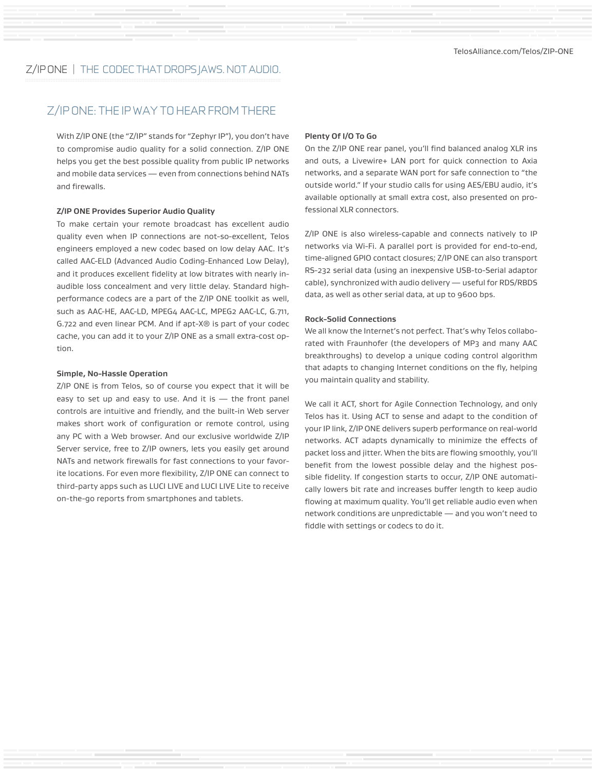### Z/IP ONE: THE IP WAY TO HEAR FROM THERE

With Z/IP ONE (the "Z/IP" stands for "Zephyr IP"), you don't have to compromise audio quality for a solid connection. Z/IP ONE helps you get the best possible quality from public IP networks and mobile data services — even from connections behind NATs and firewalls.

#### **Z/IP ONE Provides Superior Audio Quality**

To make certain your remote broadcast has excellent audio quality even when IP connections are not-so-excellent, Telos engineers employed a new codec based on low delay AAC. It's called AAC-ELD (Advanced Audio Coding-Enhanced Low Delay), and it produces excellent fidelity at low bitrates with nearly inaudible loss concealment and very little delay. Standard highperformance codecs are a part of the Z/IP ONE toolkit as well, such as AAC-HE, AAC-LD, MPEG4 AAC-LC, MPEG2 AAC-LC, G.711, G.722 and even linear PCM. And if apt-X® is part of your codec cache, you can add it to your Z/IP ONE as a small extra-cost option.

#### **Simple, No-Hassle Operation**

Z/IP ONE is from Telos, so of course you expect that it will be easy to set up and easy to use. And it is — the front panel controls are intuitive and friendly, and the built-in Web server makes short work of configuration or remote control, using any PC with a Web browser. And our exclusive worldwide Z/IP Server service, free to Z/IP owners, lets you easily get around NATs and network firewalls for fast connections to your favorite locations. For even more flexibility, Z/IP ONE can connect to third-party apps such as LUCI LIVE and LUCI LIVE Lite to receive on-the-go reports from smartphones and tablets.

#### **Plenty Of I/O To Go**

On the Z/IP ONE rear panel, you'll find balanced analog XLR ins and outs, a Livewire+ LAN port for quick connection to Axia networks, and a separate WAN port for safe connection to "the outside world." If your studio calls for using AES/EBU audio, it's available optionally at small extra cost, also presented on professional XLR connectors.

Z/IP ONE is also wireless-capable and connects natively to IP networks via Wi-Fi. A parallel port is provided for end-to-end, time-aligned GPIO contact closures; Z/IP ONE can also transport RS-232 serial data (using an inexpensive USB-to-Serial adaptor cable), synchronized with audio delivery — useful for RDS/RBDS data, as well as other serial data, at up to 9600 bps.

#### **Rock-Solid Connections**

We all know the Internet's not perfect. That's why Telos collaborated with Fraunhofer (the developers of MP3 and many AAC breakthroughs) to develop a unique coding control algorithm that adapts to changing Internet conditions on the fly, helping you maintain quality and stability.

We call it ACT, short for Agile Connection Technology, and only Telos has it. Using ACT to sense and adapt to the condition of your IP link, Z/IP ONE delivers superb performance on real-world networks. ACT adapts dynamically to minimize the effects of packet loss and jitter. When the bits are flowing smoothly, you'll benefit from the lowest possible delay and the highest possible fidelity. If congestion starts to occur, Z/IP ONE automatically lowers bit rate and increases buffer length to keep audio flowing at maximum quality. You'll get reliable audio even when network conditions are unpredictable — and you won't need to fiddle with settings or codecs to do it.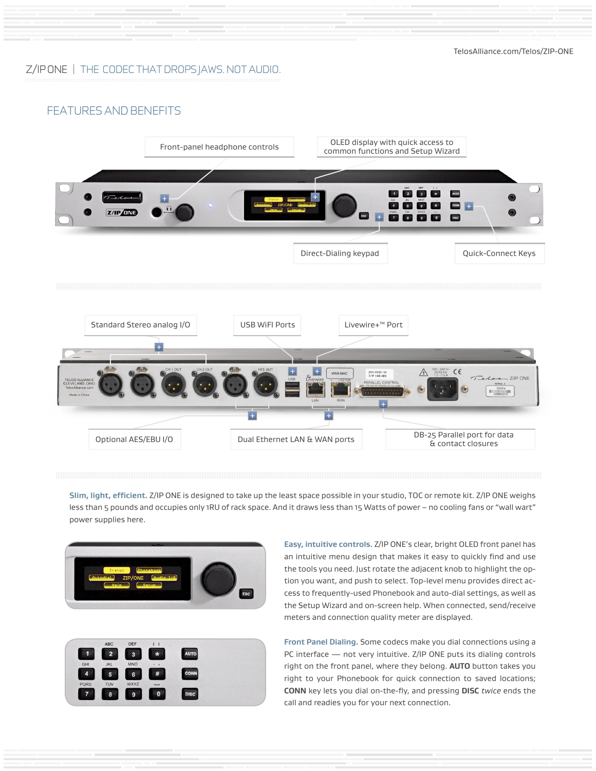TelosAlliance.com/Telos/ZIP-ONE

### Z/IP ONE | THE CODEC THAT DROPS JAWS. NOT AUDIO.

### FEATURES AND BENEFITS



**Slim, light, efficient.** Z/IP ONE is designed to take up the least space possible in your studio, TOC or remote kit. Z/IP ONE weighs less than 5 pounds and occupies only 1RU of rack space. And it draws less than 15 Watts of power – no cooling fans or "wall wart" power supplies here.



|             | <b>ABC</b>     | <b>DEF</b>              |                |             |  |
|-------------|----------------|-------------------------|----------------|-------------|--|
| 1           | $\overline{a}$ | $\overline{\mathbf{3}}$ | $\star$        | <b>AUTO</b> |  |
| <b>GHI</b>  | <b>JKL</b>     | <b>MNO</b>              | $\bullet$<br>٠ |             |  |
| 4           | 5              | 6                       | #              | <b>CONN</b> |  |
| <b>PQRS</b> | TUV            | <b>WXYZ</b>             |                |             |  |
|             | 8              | $\mathbf{9}$            | $\mathbf 0$    | <b>DISC</b> |  |
|             |                |                         |                |             |  |

**Easy, intuitive controls.** Z/IP ONE's clear, bright OLED front panel has an intuitive menu design that makes it easy to quickly find and use the tools you need. Just rotate the adjacent knob to highlight the option you want, and push to select. Top-level menu provides direct access to frequently-used Phonebook and auto-dial settings, as well as the Setup Wizard and on-screen help. When connected, send/receive meters and connection quality meter are displayed.

**Front Panel Dialing.** Some codecs make you dial connections using a PC interface — not very intuitive. Z/IP ONE puts its dialing controls right on the front panel, where they belong. **AUTO** button takes you right to your Phonebook for quick connection to saved locations; **CONN** key lets you dial on-the-fly, and pressing **DISC** *twice* ends the call and readies you for your next connection.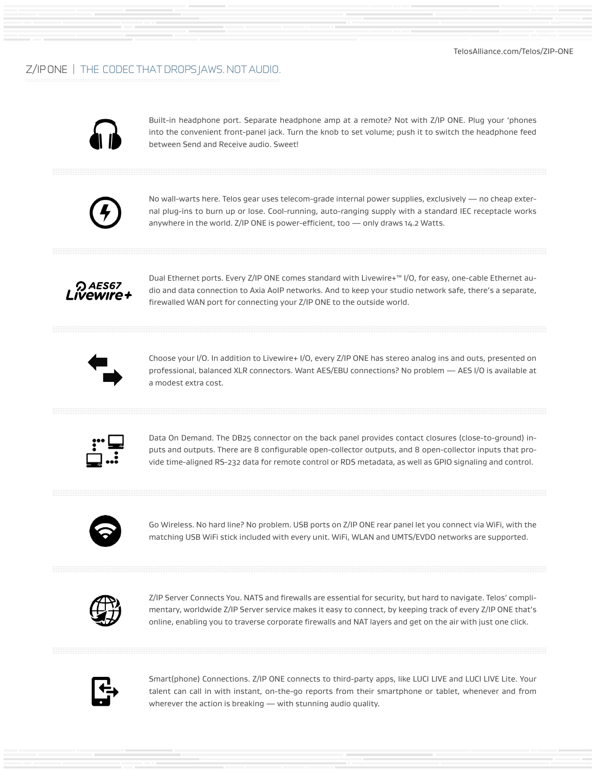

Built-in headphone port. Separate headphone amp at a remote? Not with Z/IP ONE. Plug your 'phones into the convenient front-panel jack. Turn the knob to set volume; push it to switch the headphone feed between Send and Receive audio. Sweet!



No wall-warts here. Telos gear uses telecom-grade internal power supplies, exclusively — no cheap external plug-ins to burn up or lose. Cool-running, auto-ranging supply with a standard IEC receptacle works anywhere in the world. Z/IP ONE is power-efficient, too — only draws 14.2 Watts.



Dual Ethernet ports. Every Z/IP ONE comes standard with Livewire+™ I/O, for easy, one-cable Ethernet audio and data connection to Axia AoIP networks. And to keep your studio network safe, there's a separate, firewalled WAN port for connecting your Z/IP ONE to the outside world.



Choose your I/O. In addition to Livewire+ I/O, every Z/IP ONE has stereo analog ins and outs, presented on professional, balanced XLR connectors. Want AES/EBU connections? No problem — AES I/O is available at a modest extra cost.



Data On Demand. The DB25 connector on the back panel provides contact closures (close-to-ground) inputs and outputs. There are 8 configurable open-collector outputs, and 8 open-collector inputs that provide time-aligned RS-232 data for remote control or RDS metadata, as well as GPIO signaling and control.



Go Wireless. No hard line? No problem. USB ports on Z/IP ONE rear panel let you connect via WiFi, with the matching USB WiFi stick included with every unit. WiFi, WLAN and UMTS/EVDO networks are supported.



Z/IP Server Connects You. NATS and firewalls are essential for security, but hard to navigate. Telos' complimentary, worldwide Z/IP Server service makes it easy to connect, by keeping track of every Z/IP ONE that's online, enabling you to traverse corporate firewalls and NAT layers and get on the air with just one click.



Smart(phone) Connections. Z/IP ONE connects to third-party apps, like LUCI LIVE and LUCI LIVE Lite. Your talent can call in with instant, on-the-go reports from their smartphone or tablet, whenever and from wherever the action is breaking — with stunning audio quality.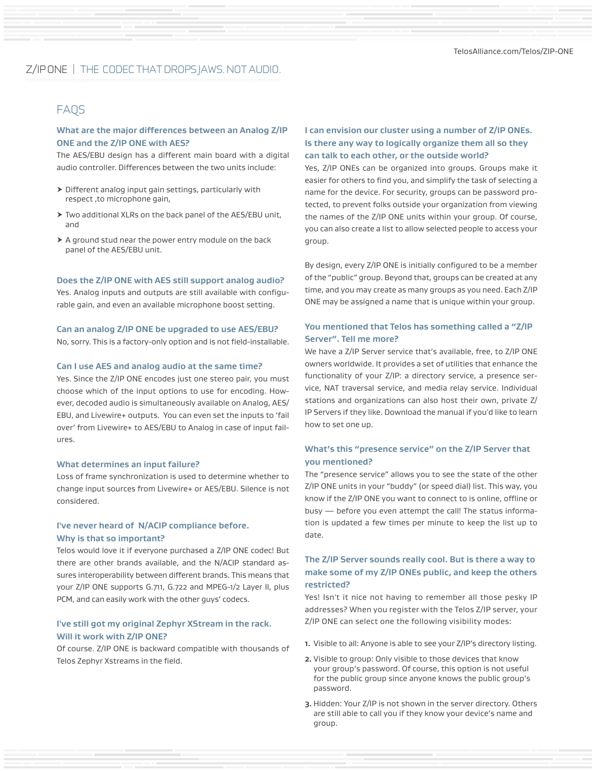## FAQS

### **What are the major differences between an Analog Z/IP ONE and the Z/IP ONE with AES?**

The AES/EBU design has a different main board with a digital audio controller. Differences between the two units include:

- $\triangleright$  Different analog input gain settings, particularly with respect ,to microphone gain,
- > Two additional XLRs on the back panel of the AES/EBU unit, and
- $\triangleright$  A ground stud near the power entry module on the back panel of the AES/EBU unit.

#### **Does the Z/IP ONE with AES still support analog audio?**

Yes. Analog inputs and outputs are still available with configurable gain, and even an available microphone boost setting.

#### **Can an analog Z/IP ONE be upgraded to use AES/EBU?**

No, sorry. This is a factory-only option and is not field-installable.

#### **Can I use AES and analog audio at the same time?**

Yes. Since the Z/IP ONE encodes just one stereo pair, you must choose which of the input options to use for encoding. However, decoded audio is simultaneously available on Analog, AES/ EBU, and Livewire+ outputs. You can even set the inputs to 'fail over' from Livewire+ to AES/EBU to Analog in case of input failures.

#### **What determines an input failure?**

Loss of frame synchronization is used to determine whether to change input sources from Livewire+ or AES/EBU. Silence is not considered.

### **I've never heard of N/ACIP compliance before. Why is that so important?**

Telos would love it if everyone purchased a Z/IP ONE codec! But there are other brands available, and the N/ACIP standard assures interoperability between different brands. This means that your Z/IP ONE supports G.711, G.722 and MPEG-1/2 Layer II, plus PCM, and can easily work with the other guys' codecs.

### **I've still got my original Zephyr XStream in the rack. Will it work with Z/IP ONE?**

Of course. Z/IP ONE is backward compatible with thousands of Telos Zephyr Xstreams in the field.

### **I can envision our cluster using a number of Z/IP ONEs. Is there any way to logically organize them all so they can talk to each other, or the outside world?**

Yes, Z/IP ONEs can be organized into groups. Groups make it easier for others to find you, and simplify the task of selecting a name for the device. For security, groups can be password protected, to prevent folks outside your organization from viewing the names of the Z/IP ONE units within your group. Of course, you can also create a list to allow selected people to access your group.

By design, every Z/IP ONE is initially configured to be a member of the "public" group. Beyond that, groups can be created at any time, and you may create as many groups as you need. Each Z/IP ONE may be assigned a name that is unique within your group.

### **You mentioned that Telos has something called a "Z/IP Server". Tell me more?**

We have a Z/IP Server service that's available, free, to Z/IP ONE owners worldwide. It provides a set of utilities that enhance the functionality of your Z/IP: a directory service, a presence service, NAT traversal service, and media relay service. Individual stations and organizations can also host their own, private Z/ IP Servers if they like. Download the manual if you'd like to learn how to set one up.

### **What's this "presence service" on the Z/IP Server that you mentioned?**

The "presence service" allows you to see the state of the other Z/IP ONE units in your "buddy" (or speed dial) list. This way, you know if the Z/IP ONE you want to connect to is online, offline or busy — before you even attempt the call! The status information is updated a few times per minute to keep the list up to date.

### **The Z/IP Server sounds really cool. But is there a way to make some of my Z/IP ONEs public, and keep the others restricted?**

Yes! Isn't it nice not having to remember all those pesky IP addresses? When you register with the Telos Z/IP server, your Z/IP ONE can select one the following visibility modes:

- **1.** Visible to all: Anyone is able to see your Z/IP's directory listing.
- **2.** Visible to group: Only visible to those devices that know your group's password. Of course, this option is not useful for the public group since anyone knows the public group's password.
- **3.** Hidden: Your Z/IP is not shown in the server directory. Others are still able to call you if they know your device's name and group.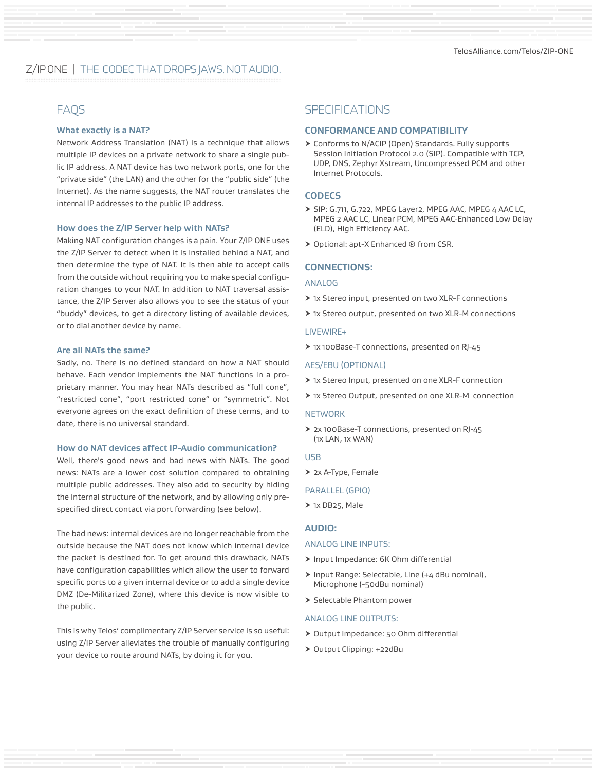#### **What exactly is a NAT?**

Network Address Translation (NAT) is a technique that allows multiple IP devices on a private network to share a single public IP address. A NAT device has two network ports, one for the "private side" (the LAN) and the other for the "public side" (the Internet). As the name suggests, the NAT router translates the internal IP addresses to the public IP address.

#### **How does the Z/IP Server help with NATs?**

Making NAT configuration changes is a pain. Your Z/IP ONE uses the Z/IP Server to detect when it is installed behind a NAT, and then determine the type of NAT. It is then able to accept calls from the outside without requiring you to make special configuration changes to your NAT. In addition to NAT traversal assistance, the Z/IP Server also allows you to see the status of your "buddy" devices, to get a directory listing of available devices, or to dial another device by name.

#### **Are all NATs the same?**

Sadly, no. There is no defined standard on how a NAT should behave. Each vendor implements the NAT functions in a proprietary manner. You may hear NATs described as "full cone", "restricted cone", "port restricted cone" or "symmetric". Not everyone agrees on the exact definition of these terms, and to date, there is no universal standard.

#### **How do NAT devices affect IP-Audio communication?**

Well, there's good news and bad news with NATs. The good news: NATs are a lower cost solution compared to obtaining multiple public addresses. They also add to security by hiding the internal structure of the network, and by allowing only prespecified direct contact via port forwarding (see below).

The bad news: internal devices are no longer reachable from the outside because the NAT does not know which internal device the packet is destined for. To get around this drawback, NATs have configuration capabilities which allow the user to forward specific ports to a given internal device or to add a single device DMZ (De-Militarized Zone), where this device is now visible to the public.

This is why Telos' complimentary Z/IP Server service is so useful: using Z/IP Server alleviates the trouble of manually configuring your device to route around NATs, by doing it for you.

### FAQS SPECIFICATIONS

#### **CONFORMANCE AND COMPATIBILITY**

▶ Conforms to N/ACIP (Open) Standards. Fully supports Session Initiation Protocol 2.0 (SIP). Compatible with TCP, UDP, DNS, Zephyr Xstream, Uncompressed PCM and other Internet Protocols.

#### **CODECS**

- h SIP: G.711, G.722, MPEG Layer2, MPEG AAC, MPEG 4 AAC LC, MPEG 2 AAC LC, Linear PCM, MPEG AAC-Enhanced Low Delay (ELD), High Efficiency AAC.
- ▶ Optional: apt-X Enhanced ® from CSR.

#### **CONNECTIONS:**

#### ANALOG

- ▶ 1x Stereo input, presented on two XLR-F connections
- ▶ 1x Stereo output, presented on two XLR-M connections

#### LIVEWIRE+

h 1x 100Base-T connections, presented on RJ-45

#### AES/EBU (OPTIONAL)

- > 1x Stereo Input, presented on one XLR-F connection
- h 1x Stereo Output, presented on one XLR-M connection

#### **NETWORK**

> 2x 100Base-T connections, presented on RJ-45 (1x LAN, 1x WAN)

#### USB

 $\geq$  2x A-Type, Female

#### PARALLEL (GPIO)

 $\triangleright$  1x DB25, Male

#### **AUDIO:**

#### ANALOG LINE INPUTS:

- > Input Impedance: 6K Ohm differential
- $\triangleright$  Input Range: Selectable, Line (+4 dBu nominal), Microphone (-50dBu nominal)
- > Selectable Phantom power

#### ANALOG LINE OUTPUTS:

- > Output Impedance: 50 Ohm differential
- ▶ Output Clipping: +22dBu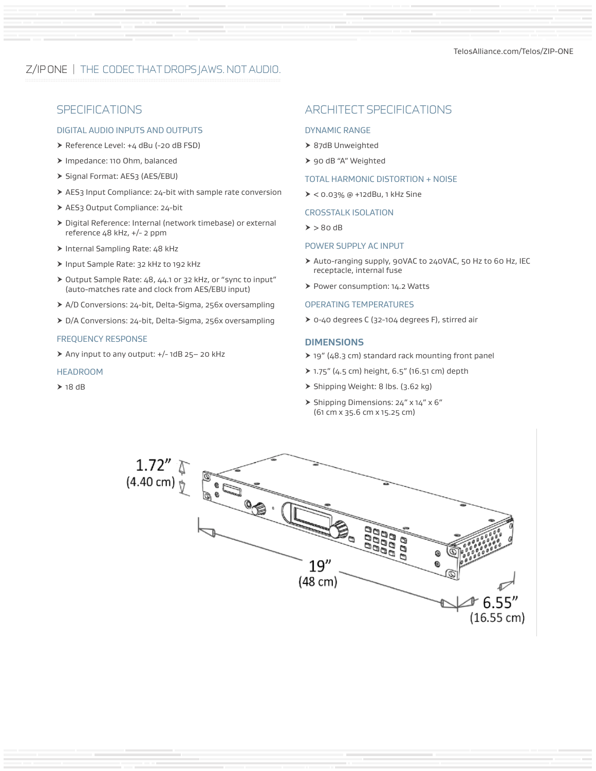### DIGITAL AUDIO INPUTS AND OUTPUTS

- ▶ Reference Level: +4 dBu (-20 dB FSD)
- > Impedance: 110 Ohm, balanced
- > Signal Format: AES3 (AES/EBU)
- > AES3 Input Compliance: 24-bit with sample rate conversion
- ▶ AES3 Output Compliance: 24-bit
- > Digital Reference: Internal (network timebase) or external reference 48 kHz, +/- 2 ppm
- $\triangleright$  Internal Sampling Rate: 48 kHz
- ▶ Input Sample Rate: 32 kHz to 192 kHz
- ▶ Output Sample Rate: 48, 44.1 or 32 kHz, or "sync to input" (auto-matches rate and clock from AES/EBU input)
- h A/D Conversions: 24-bit, Delta-Sigma, 256x oversampling
- > D/A Conversions: 24-bit, Delta-Sigma, 256x oversampling

#### FREQUENCY RESPONSE

▶ Any input to any output: +/- 1dB 25- 20 kHz

#### **HEADROOM**

 $\geq 18$  dB

### SPECIFICATIONS ARCHITECT SPECIFICATIONS

#### DYNAMIC RANGE

- > 87dB Unweighted
- > 90 dB "A" Weighted

#### TOTAL HARMONIC DISTORTION + NOISE

 $> 0.03\%$  @ +12dBu, 1 kHz Sine

#### CROSSTALK ISOLATION

 $\geq$   $>$  80 dB

#### POWER SUPPLY AC INPUT

- h Auto-ranging supply, 90VAC to 240VAC, 50 Hz to 60 Hz, IEC receptacle, internal fuse
- > Power consumption: 14.2 Watts

#### OPERATING TEMPERATURES

▶ 0-40 degrees C (32-104 degrees F), stirred air

#### **DIMENSIONS**

- $\geq$  19" (48.3 cm) standard rack mounting front panel
- $\triangleright$  1.75" (4.5 cm) height, 6.5" (16.51 cm) depth
- > Shipping Weight: 8 lbs. (3.62 kg)
- $\triangleright$  Shipping Dimensions: 24" x 14" x 6" (61 cm x 35.6 cm x 15.25 cm)

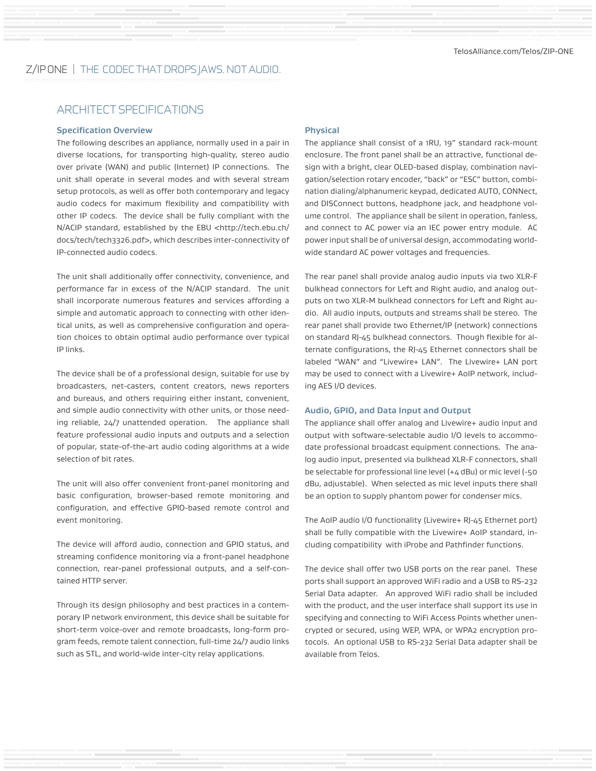### ARCHITECT SPECIFICATIONS

#### **Specification Overview**

The following describes an appliance, normally used in a pair in diverse locations, for transporting high-quality, stereo audio over private (WAN) and public (Internet) IP connections. The unit shall operate in several modes and with several stream setup protocols, as well as offer both contemporary and legacy audio codecs for maximum flexibility and compatibility with other IP codecs. The device shall be fully compliant with the N/ACIP standard, established by the EBU <http://tech.ebu.ch/ docs/tech/tech3326.pdf>, which describes inter-connectivity of IP-connected audio codecs.

The unit shall additionally offer connectivity, convenience, and performance far in excess of the N/ACIP standard. The unit shall incorporate numerous features and services affording a simple and automatic approach to connecting with other identical units, as well as comprehensive configuration and operation choices to obtain optimal audio performance over typical IP links.

The device shall be of a professional design, suitable for use by broadcasters, net-casters, content creators, news reporters and bureaus, and others requiring either instant, convenient, and simple audio connectivity with other units, or those needing reliable, 24/7 unattended operation. The appliance shall feature professional audio inputs and outputs and a selection of popular, state-of-the-art audio coding algorithms at a wide selection of bit rates.

The unit will also offer convenient front-panel monitoring and basic configuration, browser-based remote monitoring and configuration, and effective GPIO-based remote control and event monitoring.

The device will afford audio, connection and GPIO status, and streaming confidence monitoring via a front-panel headphone connection, rear-panel professional outputs, and a self-contained HTTP server.

Through its design philosophy and best practices in a contemporary IP network environment, this device shall be suitable for short-term voice-over and remote broadcasts, long-form program feeds, remote talent connection, full-time 24/7 audio links such as STL, and world-wide inter-city relay applications.

#### **Physical**

The appliance shall consist of a 1RU, 19" standard rack-mount enclosure. The front panel shall be an attractive, functional design with a bright, clear OLED-based display, combination navigation/selection rotary encoder, "back" or "ESC" button, combination dialing/alphanumeric keypad, dedicated AUTO, CONNect, and DISConnect buttons, headphone jack, and headphone volume control. The appliance shall be silent in operation, fanless, and connect to AC power via an IEC power entry module. AC power input shall be of universal design, accommodating worldwide standard AC power voltages and frequencies.

The rear panel shall provide analog audio inputs via two XLR-F bulkhead connectors for Left and Right audio, and analog outputs on two XLR-M bulkhead connectors for Left and Right audio. All audio inputs, outputs and streams shall be stereo. The rear panel shall provide two Ethernet/IP (network) connections on standard RJ-45 bulkhead connectors. Though flexible for alternate configurations, the RJ-45 Ethernet connectors shall be labeled "WAN" and "Livewire+ LAN". The Livewire+ LAN port may be used to connect with a Livewire+ AoIP network, including AES I/O devices.

#### **Audio, GPIO, and Data Input and Output**

The appliance shall offer analog and Livewire+ audio input and output with software-selectable audio I/O levels to accommodate professional broadcast equipment connections. The analog audio input, presented via bulkhead XLR-F connectors, shall be selectable for professional line level (+4 dBu) or mic level (-50 dBu, adjustable). When selected as mic level inputs there shall be an option to supply phantom power for condenser mics.

The AoIP audio I/O functionality (Livewire+ RJ-45 Ethernet port) shall be fully compatible with the Livewire+ AoIP standard, including compatibility with iProbe and Pathfinder functions.

The device shall offer two USB ports on the rear panel. These ports shall support an approved WiFi radio and a USB to RS-232 Serial Data adapter. An approved WiFi radio shall be included with the product, and the user interface shall support its use in specifying and connecting to WiFi Access Points whether unencrypted or secured, using WEP, WPA, or WPA2 encryption protocols. An optional USB to RS-232 Serial Data adapter shall be available from Telos.